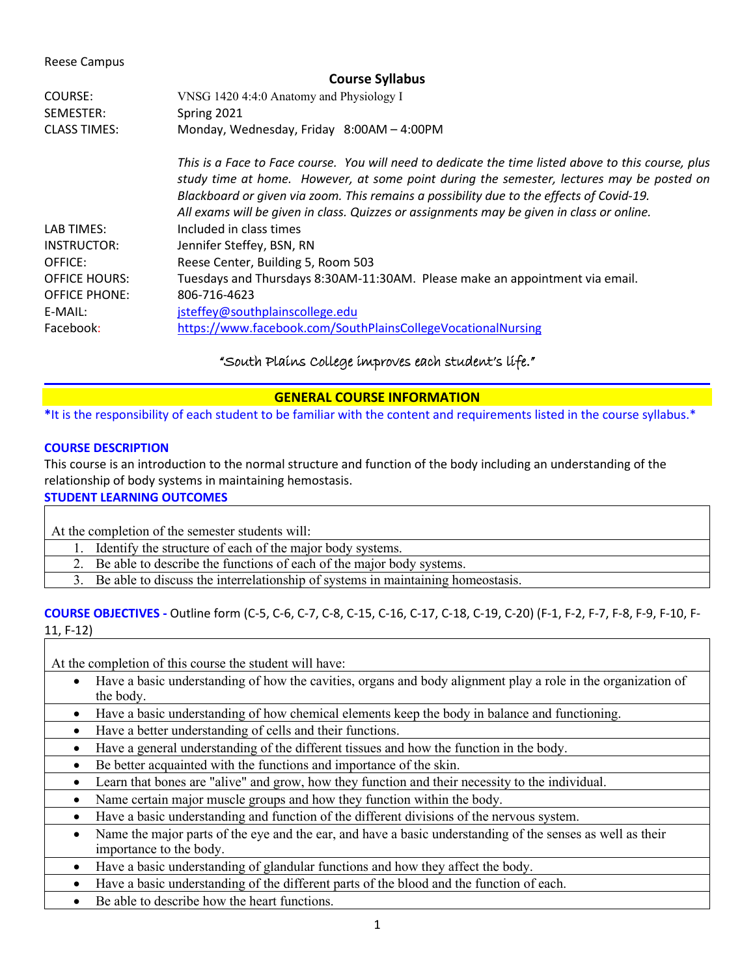Reese Campus

| <b>Course Syllabus</b> |                                                                                                                                                                                                                                                                                                                                                                                           |  |
|------------------------|-------------------------------------------------------------------------------------------------------------------------------------------------------------------------------------------------------------------------------------------------------------------------------------------------------------------------------------------------------------------------------------------|--|
| COURSE:                | VNSG 1420 4:4:0 Anatomy and Physiology I                                                                                                                                                                                                                                                                                                                                                  |  |
| SEMESTER:              | Spring 2021                                                                                                                                                                                                                                                                                                                                                                               |  |
| <b>CLASS TIMES:</b>    | Monday, Wednesday, Friday 8:00AM - 4:00PM                                                                                                                                                                                                                                                                                                                                                 |  |
|                        | This is a Face to Face course. You will need to dedicate the time listed above to this course, plus<br>study time at home. However, at some point during the semester, lectures may be posted on<br>Blackboard or given via zoom. This remains a possibility due to the effects of Covid-19.<br>All exams will be given in class. Quizzes or assignments may be given in class or online. |  |
| LAB TIMES:             | Included in class times                                                                                                                                                                                                                                                                                                                                                                   |  |
| INSTRUCTOR:            | Jennifer Steffey, BSN, RN                                                                                                                                                                                                                                                                                                                                                                 |  |
| OFFICE:                | Reese Center, Building 5, Room 503                                                                                                                                                                                                                                                                                                                                                        |  |
| <b>OFFICE HOURS:</b>   | Tuesdays and Thursdays 8:30AM-11:30AM. Please make an appointment via email.                                                                                                                                                                                                                                                                                                              |  |
| <b>OFFICE PHONE:</b>   | 806-716-4623                                                                                                                                                                                                                                                                                                                                                                              |  |
| E-MAIL:                | jsteffey@southplainscollege.edu                                                                                                                                                                                                                                                                                                                                                           |  |
| Facebook:              | https://www.facebook.com/SouthPlainsCollegeVocationalNursing                                                                                                                                                                                                                                                                                                                              |  |

# "South Plains College improves each student's life."

## **GENERAL COURSE INFORMATION**

**\***It is the responsibility of each student to be familiar with the content and requirements listed in the course syllabus.\*

## **COURSE DESCRIPTION**

This course is an introduction to the normal structure and function of the body including an understanding of the relationship of body systems in maintaining hemostasis.

# **STUDENT LEARNING OUTCOMES**

At the completion of the semester students will:

- 1. Identify the structure of each of the major body systems.
- 2. Be able to describe the functions of each of the major body systems.
- 3. Be able to discuss the interrelationship of systems in maintaining homeostasis.

# **COURSE OBJECTIVES -** Outline form (C-5, C-6, C-7, C-8, C-15, C-16, C-17, C-18, C-19, C-20) (F-1, F-2, F-7, F-8, F-9, F-10, F-11, F-12)

At the completion of this course the student will have:

- Have a basic understanding of how the cavities, organs and body alignment play a role in the organization of the body.
- Have a basic understanding of how chemical elements keep the body in balance and functioning.
- Have a better understanding of cells and their functions.
- Have a general understanding of the different tissues and how the function in the body.
- Be better acquainted with the functions and importance of the skin.
- Learn that bones are "alive" and grow, how they function and their necessity to the individual.
- Name certain major muscle groups and how they function within the body.
- Have a basic understanding and function of the different divisions of the nervous system.
- Name the major parts of the eye and the ear, and have a basic understanding of the senses as well as their importance to the body.
- Have a basic understanding of glandular functions and how they affect the body.
- Have a basic understanding of the different parts of the blood and the function of each.
- Be able to describe how the heart functions.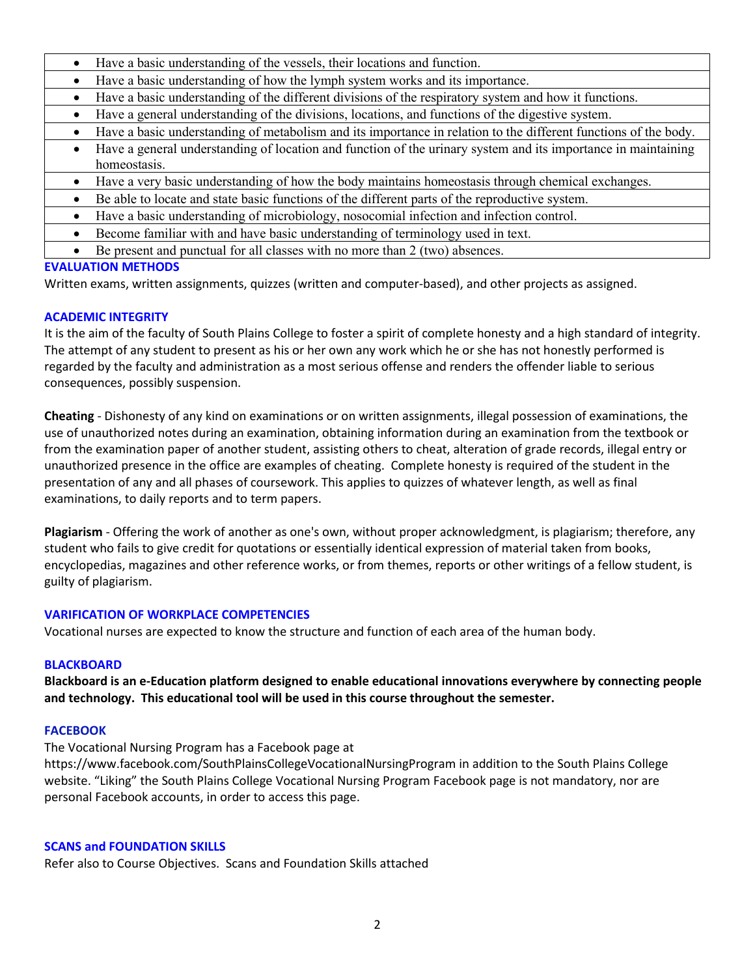- Have a basic understanding of the vessels, their locations and function.
- Have a basic understanding of how the lymph system works and its importance.
- Have a basic understanding of the different divisions of the respiratory system and how it functions.
- Have a general understanding of the divisions, locations, and functions of the digestive system.
- Have a basic understanding of metabolism and its importance in relation to the different functions of the body.
- Have a general understanding of location and function of the urinary system and its importance in maintaining homeostasis.
- Have a very basic understanding of how the body maintains homeostasis through chemical exchanges.
- Be able to locate and state basic functions of the different parts of the reproductive system.
- Have a basic understanding of microbiology, nosocomial infection and infection control.
- Become familiar with and have basic understanding of terminology used in text.
- Be present and punctual for all classes with no more than 2 (two) absences.

# **EVALUATION METHODS**

Written exams, written assignments, quizzes (written and computer-based), and other projects as assigned.

# **ACADEMIC INTEGRITY**

It is the aim of the faculty of South Plains College to foster a spirit of complete honesty and a high standard of integrity. The attempt of any student to present as his or her own any work which he or she has not honestly performed is regarded by the faculty and administration as a most serious offense and renders the offender liable to serious consequences, possibly suspension.

**Cheating** - Dishonesty of any kind on examinations or on written assignments, illegal possession of examinations, the use of unauthorized notes during an examination, obtaining information during an examination from the textbook or from the examination paper of another student, assisting others to cheat, alteration of grade records, illegal entry or unauthorized presence in the office are examples of cheating. Complete honesty is required of the student in the presentation of any and all phases of coursework. This applies to quizzes of whatever length, as well as final examinations, to daily reports and to term papers.

**Plagiarism** - Offering the work of another as one's own, without proper acknowledgment, is plagiarism; therefore, any student who fails to give credit for quotations or essentially identical expression of material taken from books, encyclopedias, magazines and other reference works, or from themes, reports or other writings of a fellow student, is guilty of plagiarism.

# **VARIFICATION OF WORKPLACE COMPETENCIES**

Vocational nurses are expected to know the structure and function of each area of the human body.

# **BLACKBOARD**

**Blackboard is an e-Education platform designed to enable educational innovations everywhere by connecting people and technology. This educational tool will be used in this course throughout the semester.** 

# **FACEBOOK**

The Vocational Nursing Program has a Facebook page at

https://www.facebook.com/SouthPlainsCollegeVocationalNursingProgram in addition to the South Plains College website. "Liking" the South Plains College Vocational Nursing Program Facebook page is not mandatory, nor are personal Facebook accounts, in order to access this page.

# **SCANS and FOUNDATION SKILLS**

Refer also to Course Objectives. Scans and Foundation Skills attached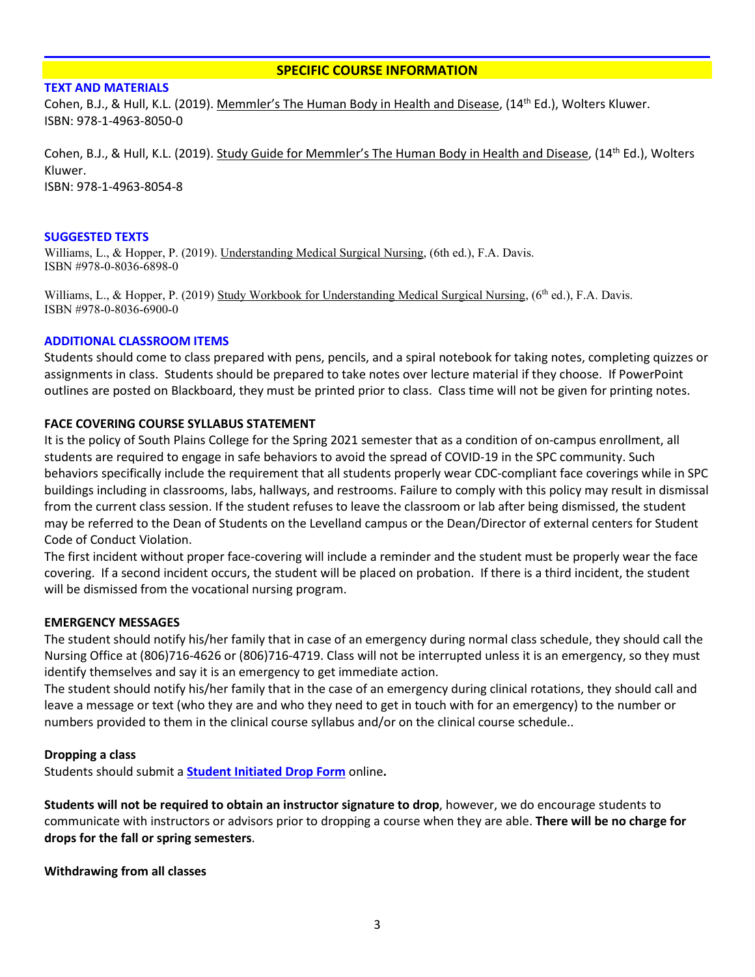## **SPECIFIC COURSE INFORMATION**

## **TEXT AND MATERIALS**

Cohen, B.J., & Hull, K.L. (2019). Memmler's The Human Body in Health and Disease, (14<sup>th</sup> Ed.), Wolters Kluwer. ISBN: 978-1-4963-8050-0

Cohen, B.J., & Hull, K.L. (2019). Study Guide for Memmler's The Human Body in Health and Disease, (14<sup>th</sup> Ed.), Wolters Kluwer. ISBN: 978-1-4963-8054-8

## **SUGGESTED TEXTS**

Williams, L., & Hopper, P. (2019). Understanding Medical Surgical Nursing, (6th ed.), F.A. Davis. ISBN #978-0-8036-6898-0

Williams, L., & Hopper, P. (2019) Study Workbook for Understanding Medical Surgical Nursing,  $(6<sup>th</sup>$  ed.), F.A. Davis. ISBN #978-0-8036-6900-0

## **ADDITIONAL CLASSROOM ITEMS**

Students should come to class prepared with pens, pencils, and a spiral notebook for taking notes, completing quizzes or assignments in class. Students should be prepared to take notes over lecture material if they choose. If PowerPoint outlines are posted on Blackboard, they must be printed prior to class. Class time will not be given for printing notes.

## **FACE COVERING COURSE SYLLABUS STATEMENT**

It is the policy of South Plains College for the Spring 2021 semester that as a condition of on-campus enrollment, all students are required to engage in safe behaviors to avoid the spread of COVID-19 in the SPC community. Such behaviors specifically include the requirement that all students properly wear CDC-compliant face coverings while in SPC buildings including in classrooms, labs, hallways, and restrooms. Failure to comply with this policy may result in dismissal from the current class session. If the student refuses to leave the classroom or lab after being dismissed, the student may be referred to the Dean of Students on the Levelland campus or the Dean/Director of external centers for Student Code of Conduct Violation.

The first incident without proper face-covering will include a reminder and the student must be properly wear the face covering. If a second incident occurs, the student will be placed on probation. If there is a third incident, the student will be dismissed from the vocational nursing program.

## **EMERGENCY MESSAGES**

The student should notify his/her family that in case of an emergency during normal class schedule, they should call the Nursing Office at (806)716-4626 or (806)716-4719. Class will not be interrupted unless it is an emergency, so they must identify themselves and say it is an emergency to get immediate action.

The student should notify his/her family that in the case of an emergency during clinical rotations, they should call and leave a message or text (who they are and who they need to get in touch with for an emergency) to the number or numbers provided to them in the clinical course syllabus and/or on the clinical course schedule..

## **Dropping a class**

Students should submit a **[Student Initiated Drop Form](https://forms.office.com/Pages/ResponsePage.aspx?id=ZrGRbWrP6UWeIqAmJdCCqRkmPIpp6AVCixFJfcqITt9UODExTUFXS0JOODhJOTlYM0NEV1kzRk9GMS4u)** online**.**

**Students will not be required to obtain an instructor signature to drop**, however, we do encourage students to communicate with instructors or advisors prior to dropping a course when they are able. **There will be no charge for drops for the fall or spring semesters**.

**Withdrawing from all classes**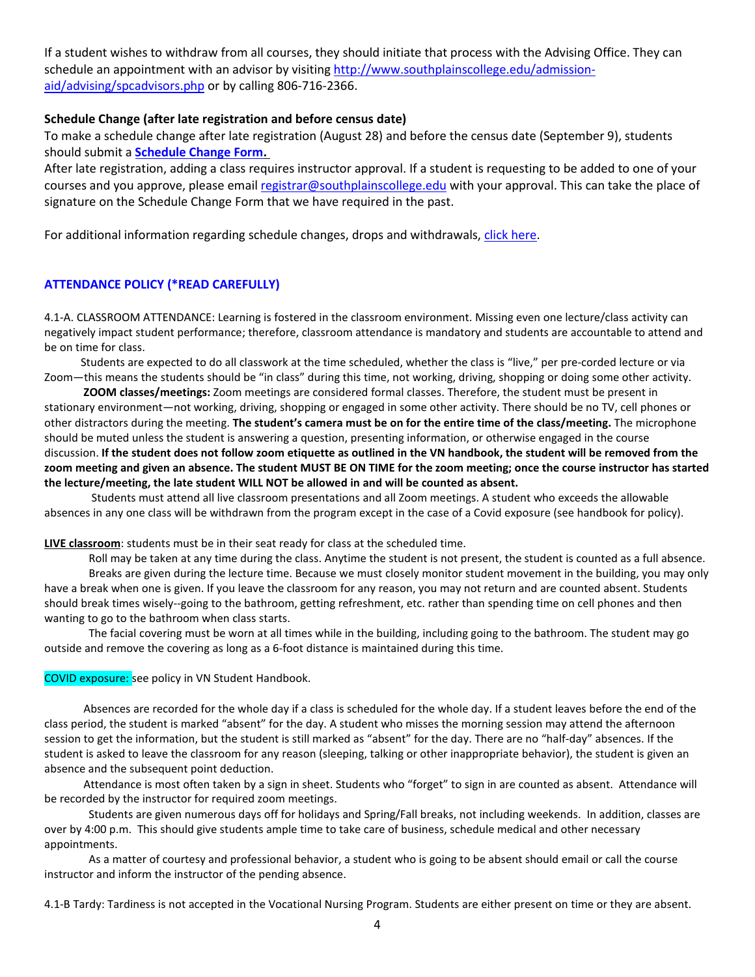If a student wishes to withdraw from all courses, they should initiate that process with the Advising Office. They can schedule an appointment with an advisor by visiting [http://www.southplainscollege.edu/admission](http://www.southplainscollege.edu/admission-aid/advising/spcadvisors.php)[aid/advising/spcadvisors.php](http://www.southplainscollege.edu/admission-aid/advising/spcadvisors.php) or by calling 806-716-2366.

## **Schedule Change (after late registration and before census date)**

To make a schedule change after late registration (August 28) and before the census date (September 9), students should submit a **[Schedule Change Form.](https://forms.office.com/Pages/ResponsePage.aspx?id=ZrGRbWrP6UWeIqAmJdCCqRkmPIpp6AVCixFJfcqITt9UODIyTkRZSkFHVDNSVFRFV0g0T0tVWVAwRi4u)**

After late registration, adding a class requires instructor approval. If a student is requesting to be added to one of your courses and you approve, please email [registrar@southplainscollege.edu](mailto:registrar@southplainscollege.edu) with your approval. This can take the place of signature on the Schedule Change Form that we have required in the past.

For additional information regarding schedule changes, drops and withdrawals, [click here.](http://www.southplainscollege.edu/admission-aid/apply/schedulechanges.php)

## **ATTENDANCE POLICY (\*READ CAREFULLY)**

4.1-A. CLASSROOM ATTENDANCE: Learning is fostered in the classroom environment. Missing even one lecture/class activity can negatively impact student performance; therefore, classroom attendance is mandatory and students are accountable to attend and be on time for class.

 Students are expected to do all classwork at the time scheduled, whether the class is "live," per pre-corded lecture or via Zoom—this means the students should be "in class" during this time, not working, driving, shopping or doing some other activity.

 **ZOOM classes/meetings:** Zoom meetings are considered formal classes. Therefore, the student must be present in stationary environment—not working, driving, shopping or engaged in some other activity. There should be no TV, cell phones or other distractors during the meeting. **The student's camera must be on for the entire time of the class/meeting.** The microphone should be muted unless the student is answering a question, presenting information, or otherwise engaged in the course discussion. **If the student does not follow zoom etiquette as outlined in the VN handbook, the student will be removed from the zoom meeting and given an absence. The student MUST BE ON TIME for the zoom meeting; once the course instructor has started the lecture/meeting, the late student WILL NOT be allowed in and will be counted as absent.**

Students must attend all live classroom presentations and all Zoom meetings. A student who exceeds the allowable absences in any one class will be withdrawn from the program except in the case of a Covid exposure (see handbook for policy).

**LIVE classroom**: students must be in their seat ready for class at the scheduled time.

Roll may be taken at any time during the class. Anytime the student is not present, the student is counted as a full absence. Breaks are given during the lecture time. Because we must closely monitor student movement in the building, you may only have a break when one is given. If you leave the classroom for any reason, you may not return and are counted absent. Students should break times wisely--going to the bathroom, getting refreshment, etc. rather than spending time on cell phones and then wanting to go to the bathroom when class starts.

The facial covering must be worn at all times while in the building, including going to the bathroom. The student may go outside and remove the covering as long as a 6-foot distance is maintained during this time.

COVID exposure: see policy in VN Student Handbook.

 Absences are recorded for the whole day if a class is scheduled for the whole day. If a student leaves before the end of the class period, the student is marked "absent" for the day. A student who misses the morning session may attend the afternoon session to get the information, but the student is still marked as "absent" for the day. There are no "half-day" absences. If the student is asked to leave the classroom for any reason (sleeping, talking or other inappropriate behavior), the student is given an absence and the subsequent point deduction.

 Attendance is most often taken by a sign in sheet. Students who "forget" to sign in are counted as absent. Attendance will be recorded by the instructor for required zoom meetings.

Students are given numerous days off for holidays and Spring/Fall breaks, not including weekends. In addition, classes are over by 4:00 p.m. This should give students ample time to take care of business, schedule medical and other necessary appointments.

As a matter of courtesy and professional behavior, a student who is going to be absent should email or call the course instructor and inform the instructor of the pending absence.

4.1-B Tardy: Tardiness is not accepted in the Vocational Nursing Program. Students are either present on time or they are absent.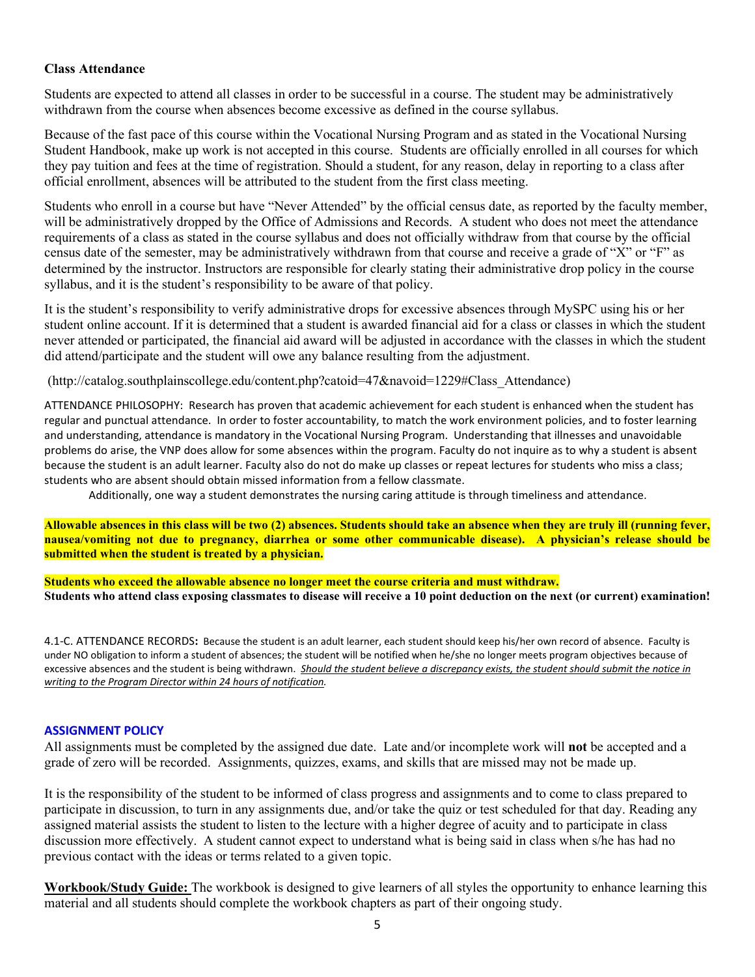## **Class Attendance**

Students are expected to attend all classes in order to be successful in a course. The student may be administratively withdrawn from the course when absences become excessive as defined in the course syllabus.

Because of the fast pace of this course within the Vocational Nursing Program and as stated in the Vocational Nursing Student Handbook, make up work is not accepted in this course. Students are officially enrolled in all courses for which they pay tuition and fees at the time of registration. Should a student, for any reason, delay in reporting to a class after official enrollment, absences will be attributed to the student from the first class meeting.

Students who enroll in a course but have "Never Attended" by the official census date, as reported by the faculty member, will be administratively dropped by the Office of Admissions and Records. A student who does not meet the attendance requirements of a class as stated in the course syllabus and does not officially withdraw from that course by the official census date of the semester, may be administratively withdrawn from that course and receive a grade of "X" or "F" as determined by the instructor. Instructors are responsible for clearly stating their administrative drop policy in the course syllabus, and it is the student's responsibility to be aware of that policy.

It is the student's responsibility to verify administrative drops for excessive absences through MySPC using his or her student online account. If it is determined that a student is awarded financial aid for a class or classes in which the student never attended or participated, the financial aid award will be adjusted in accordance with the classes in which the student did attend/participate and the student will owe any balance resulting from the adjustment.

(http://catalog.southplainscollege.edu/content.php?catoid=47&navoid=1229#Class\_Attendance)

ATTENDANCE PHILOSOPHY: Research has proven that academic achievement for each student is enhanced when the student has regular and punctual attendance. In order to foster accountability, to match the work environment policies, and to foster learning and understanding, attendance is mandatory in the Vocational Nursing Program. Understanding that illnesses and unavoidable problems do arise, the VNP does allow for some absences within the program. Faculty do not inquire as to why a student is absent because the student is an adult learner. Faculty also do not do make up classes or repeat lectures for students who miss a class; students who are absent should obtain missed information from a fellow classmate.

Additionally, one way a student demonstrates the nursing caring attitude is through timeliness and attendance.

**Allowable absences in this class will be two (2) absences. Students should take an absence when they are truly ill (running fever, nausea/vomiting not due to pregnancy, diarrhea or some other communicable disease). A physician's release should be submitted when the student is treated by a physician.**

**Students who exceed the allowable absence no longer meet the course criteria and must withdraw. Students who attend class exposing classmates to disease will receive a 10 point deduction on the next (or current) examination!**

4.1-C. ATTENDANCE RECORDS**:** Because the student is an adult learner, each student should keep his/her own record of absence. Faculty is under NO obligation to inform a student of absences; the student will be notified when he/she no longer meets program objectives because of excessive absences and the student is being withdrawn. *Should the student believe a discrepancy exists, the student should submit the notice in writing to the Program Director within 24 hours of notification.*

## **ASSIGNMENT POLICY**

All assignments must be completed by the assigned due date. Late and/or incomplete work will **not** be accepted and a grade of zero will be recorded. Assignments, quizzes, exams, and skills that are missed may not be made up.

It is the responsibility of the student to be informed of class progress and assignments and to come to class prepared to participate in discussion, to turn in any assignments due, and/or take the quiz or test scheduled for that day. Reading any assigned material assists the student to listen to the lecture with a higher degree of acuity and to participate in class discussion more effectively. A student cannot expect to understand what is being said in class when s/he has had no previous contact with the ideas or terms related to a given topic.

**Workbook/Study Guide:** The workbook is designed to give learners of all styles the opportunity to enhance learning this material and all students should complete the workbook chapters as part of their ongoing study.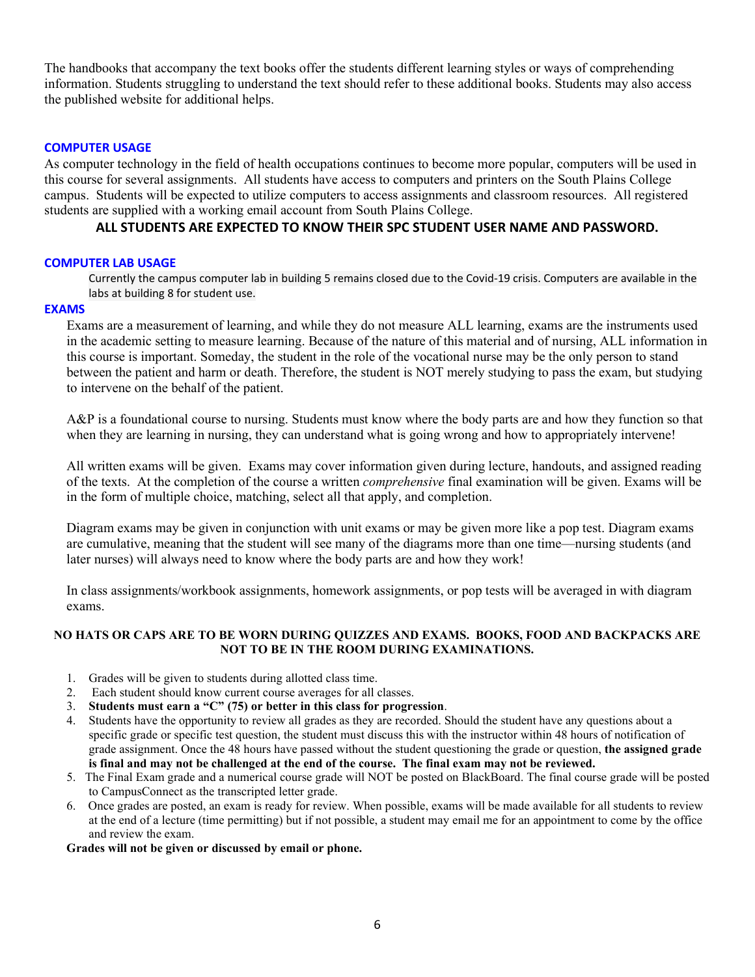The handbooks that accompany the text books offer the students different learning styles or ways of comprehending information. Students struggling to understand the text should refer to these additional books. Students may also access the published website for additional helps.

#### **COMPUTER USAGE**

As computer technology in the field of health occupations continues to become more popular, computers will be used in this course for several assignments. All students have access to computers and printers on the South Plains College campus. Students will be expected to utilize computers to access assignments and classroom resources. All registered students are supplied with a working email account from South Plains College.

## **ALL STUDENTS ARE EXPECTED TO KNOW THEIR SPC STUDENT USER NAME AND PASSWORD.**

#### **COMPUTER LAB USAGE**

Currently the campus computer lab in building 5 remains closed due to the Covid-19 crisis. Computers are available in the labs at building 8 for student use.

## **EXAMS**

Exams are a measurement of learning, and while they do not measure ALL learning, exams are the instruments used in the academic setting to measure learning. Because of the nature of this material and of nursing, ALL information in this course is important. Someday, the student in the role of the vocational nurse may be the only person to stand between the patient and harm or death. Therefore, the student is NOT merely studying to pass the exam, but studying to intervene on the behalf of the patient.

A&P is a foundational course to nursing. Students must know where the body parts are and how they function so that when they are learning in nursing, they can understand what is going wrong and how to appropriately intervene!

All written exams will be given. Exams may cover information given during lecture, handouts, and assigned reading of the texts. At the completion of the course a written *comprehensive* final examination will be given. Exams will be in the form of multiple choice, matching, select all that apply, and completion.

Diagram exams may be given in conjunction with unit exams or may be given more like a pop test. Diagram exams are cumulative, meaning that the student will see many of the diagrams more than one time—nursing students (and later nurses) will always need to know where the body parts are and how they work!

In class assignments/workbook assignments, homework assignments, or pop tests will be averaged in with diagram exams.

## **NO HATS OR CAPS ARE TO BE WORN DURING QUIZZES AND EXAMS. BOOKS, FOOD AND BACKPACKS ARE NOT TO BE IN THE ROOM DURING EXAMINATIONS.**

- 1. Grades will be given to students during allotted class time.
- 2. Each student should know current course averages for all classes.
- 3. **Students must earn a "C" (75) or better in this class for progression**.
- 4. Students have the opportunity to review all grades as they are recorded. Should the student have any questions about a specific grade or specific test question, the student must discuss this with the instructor within 48 hours of notification of grade assignment. Once the 48 hours have passed without the student questioning the grade or question, **the assigned grade is final and may not be challenged at the end of the course. The final exam may not be reviewed.**
- 5. The Final Exam grade and a numerical course grade will NOT be posted on BlackBoard. The final course grade will be posted to CampusConnect as the transcripted letter grade.
- 6. Once grades are posted, an exam is ready for review. When possible, exams will be made available for all students to review at the end of a lecture (time permitting) but if not possible, a student may email me for an appointment to come by the office and review the exam.

#### **Grades will not be given or discussed by email or phone.**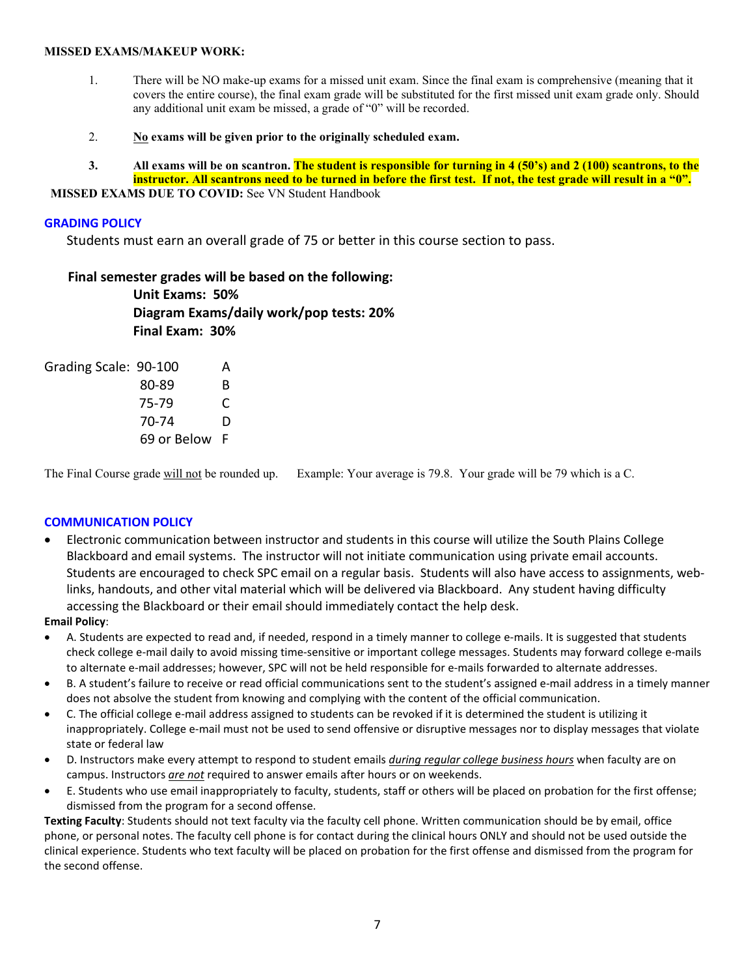#### **MISSED EXAMS/MAKEUP WORK:**

- 1. There will be NO make-up exams for a missed unit exam. Since the final exam is comprehensive (meaning that it covers the entire course), the final exam grade will be substituted for the first missed unit exam grade only. Should any additional unit exam be missed, a grade of "0" will be recorded.
- 2. **No exams will be given prior to the originally scheduled exam.**
- **3. All exams will be on scantron. The student is responsible for turning in 4 (50's) and 2 (100) scantrons, to the instructor. All scantrons need to be turned in before the first test. If not, the test grade will result in a "0".**

**MISSED EXAMS DUE TO COVID: See VN Student Handbook** 

## **GRADING POLICY**

Students must earn an overall grade of 75 or better in this course section to pass.

## **Final semester grades will be based on the following:**

**Unit Exams: 50% Diagram Exams/daily work/pop tests: 20% Final Exam: 30%**

| Grading Scale: 90-100 |               | А  |
|-----------------------|---------------|----|
|                       | 80-89         | R. |
|                       | 75-79         | C  |
|                       | 70-74         | D  |
|                       | 69 or Below F |    |

The Final Course grade will not be rounded up. Example: Your average is 79.8. Your grade will be 79 which is a C.

## **COMMUNICATION POLICY**

• Electronic communication between instructor and students in this course will utilize the South Plains College Blackboard and email systems. The instructor will not initiate communication using private email accounts. Students are encouraged to check SPC email on a regular basis. Students will also have access to assignments, weblinks, handouts, and other vital material which will be delivered via Blackboard. Any student having difficulty accessing the Blackboard or their email should immediately contact the help desk.

## **Email Policy**:

- A. Students are expected to read and, if needed, respond in a timely manner to college e-mails. It is suggested that students check college e-mail daily to avoid missing time-sensitive or important college messages. Students may forward college e-mails to alternate e-mail addresses; however, SPC will not be held responsible for e-mails forwarded to alternate addresses.
- B. A student's failure to receive or read official communications sent to the student's assigned e-mail address in a timely manner does not absolve the student from knowing and complying with the content of the official communication.
- C. The official college e-mail address assigned to students can be revoked if it is determined the student is utilizing it inappropriately. College e-mail must not be used to send offensive or disruptive messages nor to display messages that violate state or federal law
- D. Instructors make every attempt to respond to student emails *during regular college business hours* when faculty are on campus. Instructors *are not* required to answer emails after hours or on weekends.
- E. Students who use email inappropriately to faculty, students, staff or others will be placed on probation for the first offense; dismissed from the program for a second offense.

**Texting Faculty**: Students should not text faculty via the faculty cell phone. Written communication should be by email, office phone, or personal notes. The faculty cell phone is for contact during the clinical hours ONLY and should not be used outside the clinical experience. Students who text faculty will be placed on probation for the first offense and dismissed from the program for the second offense.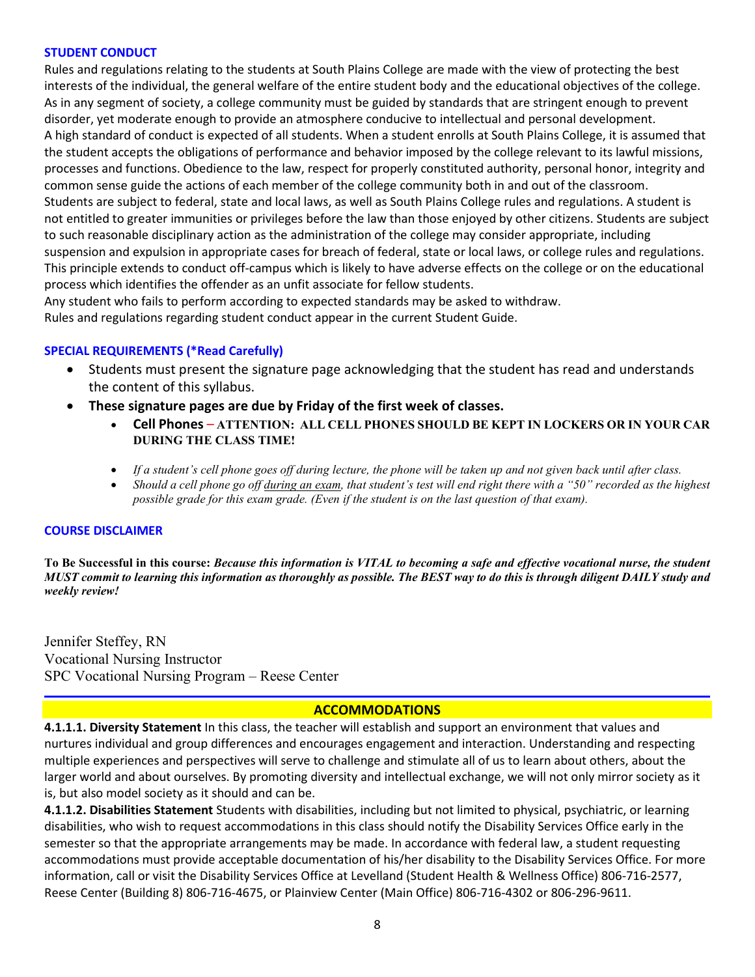## **STUDENT CONDUCT**

Rules and regulations relating to the students at South Plains College are made with the view of protecting the best interests of the individual, the general welfare of the entire student body and the educational objectives of the college. As in any segment of society, a college community must be guided by standards that are stringent enough to prevent disorder, yet moderate enough to provide an atmosphere conducive to intellectual and personal development. A high standard of conduct is expected of all students. When a student enrolls at South Plains College, it is assumed that the student accepts the obligations of performance and behavior imposed by the college relevant to its lawful missions, processes and functions. Obedience to the law, respect for properly constituted authority, personal honor, integrity and common sense guide the actions of each member of the college community both in and out of the classroom. Students are subject to federal, state and local laws, as well as South Plains College rules and regulations. A student is not entitled to greater immunities or privileges before the law than those enjoyed by other citizens. Students are subject to such reasonable disciplinary action as the administration of the college may consider appropriate, including suspension and expulsion in appropriate cases for breach of federal, state or local laws, or college rules and regulations. This principle extends to conduct off-campus which is likely to have adverse effects on the college or on the educational process which identifies the offender as an unfit associate for fellow students.

Any student who fails to perform according to expected standards may be asked to withdraw. Rules and regulations regarding student conduct appear in the current Student Guide.

## **SPECIAL REQUIREMENTS (\*Read Carefully)**

- Students must present the signature page acknowledging that the student has read and understands the content of this syllabus.
- **These signature pages are due by Friday of the first week of classes.**
	- **Cell Phones ATTENTION: ALL CELL PHONES SHOULD BE KEPT IN LOCKERS OR IN YOUR CAR DURING THE CLASS TIME!**
	- *If a student's cell phone goes off during lecture, the phone will be taken up and not given back until after class.*
	- *Should a cell phone go off during an exam, that student's test will end right there with a "50" recorded as the highest possible grade for this exam grade. (Even if the student is on the last question of that exam).*

## **COURSE DISCLAIMER**

**To Be Successful in this course:** *Because this information is VITAL to becoming a safe and effective vocational nurse, the student MUST commit to learning this information as thoroughly as possible. The BEST way to do this is through diligent DAILY study and weekly review!*

Jennifer Steffey, RN Vocational Nursing Instructor SPC Vocational Nursing Program – Reese Center

## **ACCOMMODATIONS**

**4.1.1.1. Diversity Statement** In this class, the teacher will establish and support an environment that values and nurtures individual and group differences and encourages engagement and interaction. Understanding and respecting multiple experiences and perspectives will serve to challenge and stimulate all of us to learn about others, about the larger world and about ourselves. By promoting diversity and intellectual exchange, we will not only mirror society as it is, but also model society as it should and can be.

**4.1.1.2. Disabilities Statement** Students with disabilities, including but not limited to physical, psychiatric, or learning disabilities, who wish to request accommodations in this class should notify the Disability Services Office early in the semester so that the appropriate arrangements may be made. In accordance with federal law, a student requesting accommodations must provide acceptable documentation of his/her disability to the Disability Services Office. For more information, call or visit the Disability Services Office at Levelland (Student Health & Wellness Office) 806-716-2577, Reese Center (Building 8) 806-716-4675, or Plainview Center (Main Office) 806-716-4302 or 806-296-9611.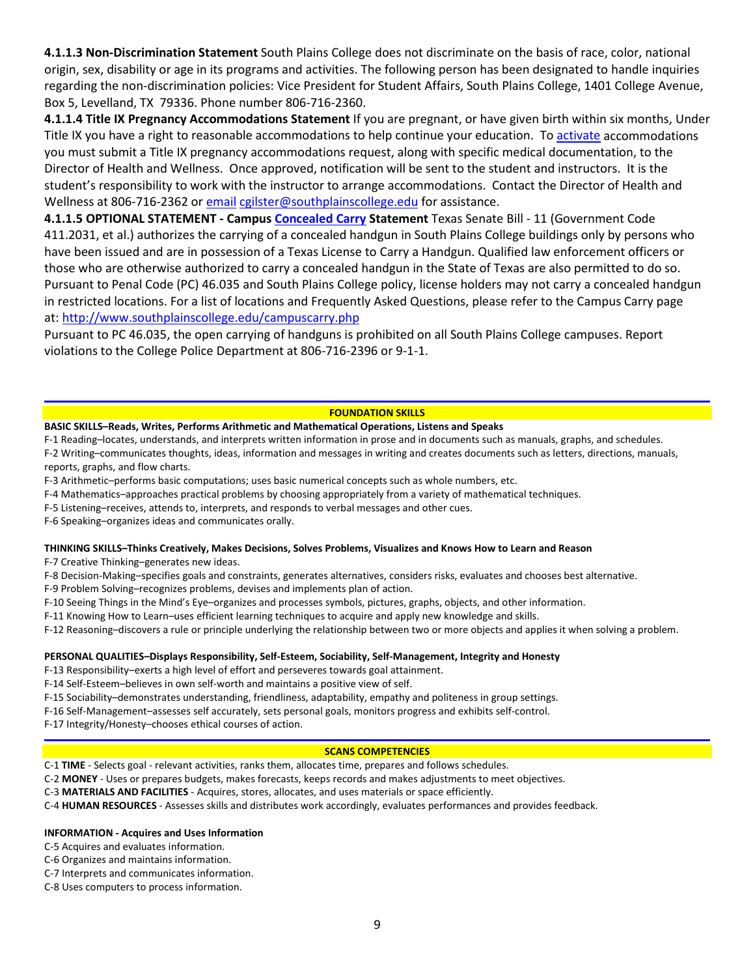**4.1.1.3 Non-Discrimination Statement** South Plains College does not discriminate on the basis of race, color, national origin, sex, disability or age in its programs and activities. The following person has been designated to handle inquiries regarding the non-discrimination policies: Vice President for Student Affairs, South Plains College, 1401 College Avenue, Box 5, Levelland, TX 79336. Phone number 806-716-2360.

**4.1.1.4 Title IX Pregnancy Accommodations Statement** If you are pregnant, or have given birth within six months, Under Title IX you have a right to reasonable accommodations to help continue your education. To [activate](http://www.southplainscollege.edu/employees/manualshandbooks/facultyhandbook/sec4.php) accommodations you must submit a Title IX pregnancy accommodations request, along with specific medical documentation, to the Director of Health and Wellness. Once approved, notification will be sent to the student and instructors. It is the student's responsibility to work with the instructor to arrange accommodations. Contact the Director of Health and Wellness at 806-716-2362 or [email](http://www.southplainscollege.edu/employees/manualshandbooks/facultyhandbook/sec4.php) [cgilster@southplainscollege.edu](mailto:cgilster@southplainscollege.edu) for assistance.

**4.1.1.5 OPTIONAL STATEMENT - Campus [Concealed Carry](http://www.southplainscollege.edu/employees/manualshandbooks/facultyhandbook/sec4.php) Statement** Texas Senate Bill - 11 (Government Code 411.2031, et al.) authorizes the carrying of a concealed handgun in South Plains College buildings only by persons who have been issued and are in possession of a Texas License to Carry a Handgun. Qualified law enforcement officers or those who are otherwise authorized to carry a concealed handgun in the State of Texas are also permitted to do so. Pursuant to Penal Code (PC) 46.035 and South Plains College policy, license holders may not carry a concealed handgun in restricted locations. For a list of locations and Frequently Asked Questions, please refer to the Campus Carry page at: <http://www.southplainscollege.edu/campuscarry.php>

Pursuant to PC 46.035, the open carrying of handguns is prohibited on all South Plains College campuses. Report violations to the College Police Department at 806-716-2396 or 9-1-1.

#### **FOUNDATION SKILLS**

#### **BASIC SKILLS–Reads, Writes, Performs Arithmetic and Mathematical Operations, Listens and Speaks**

F-1 Reading–locates, understands, and interprets written information in prose and in documents such as manuals, graphs, and schedules.

F-2 Writing–communicates thoughts, ideas, information and messages in writing and creates documents such as letters, directions, manuals, reports, graphs, and flow charts.

- F-3 Arithmetic–performs basic computations; uses basic numerical concepts such as whole numbers, etc.
- F-4 Mathematics–approaches practical problems by choosing appropriately from a variety of mathematical techniques.
- F-5 Listening–receives, attends to, interprets, and responds to verbal messages and other cues.

F-6 Speaking–organizes ideas and communicates orally.

#### **THINKING SKILLS–Thinks Creatively, Makes Decisions, Solves Problems, Visualizes and Knows How to Learn and Reason**

F-7 Creative Thinking–generates new ideas.

F-8 Decision-Making–specifies goals and constraints, generates alternatives, considers risks, evaluates and chooses best alternative.

F-9 Problem Solving–recognizes problems, devises and implements plan of action.

F-10 Seeing Things in the Mind's Eye–organizes and processes symbols, pictures, graphs, objects, and other information.

F-11 Knowing How to Learn–uses efficient learning techniques to acquire and apply new knowledge and skills.

F-12 Reasoning–discovers a rule or principle underlying the relationship between two or more objects and applies it when solving a problem.

#### **PERSONAL QUALITIES–Displays Responsibility, Self-Esteem, Sociability, Self-Management, Integrity and Honesty**

F-13 Responsibility–exerts a high level of effort and perseveres towards goal attainment.

F-14 Self-Esteem–believes in own self-worth and maintains a positive view of self.

F-15 Sociability–demonstrates understanding, friendliness, adaptability, empathy and politeness in group settings.

F-16 Self-Management–assesses self accurately, sets personal goals, monitors progress and exhibits self-control.

F-17 Integrity/Honesty–chooses ethical courses of action.

#### **SCANS COMPETENCIES**

C-1 **TIME** - Selects goal - relevant activities, ranks them, allocates time, prepares and follows schedules.

C-2 **MONEY** - Uses or prepares budgets, makes forecasts, keeps records and makes adjustments to meet objectives.

C-3 **MATERIALS AND FACILITIES** - Acquires, stores, allocates, and uses materials or space efficiently.

C-4 **HUMAN RESOURCES** - Assesses skills and distributes work accordingly, evaluates performances and provides feedback.

#### **INFORMATION - Acquires and Uses Information**

C-5 Acquires and evaluates information.

C-6 Organizes and maintains information.

C-7 Interprets and communicates information.

C-8 Uses computers to process information.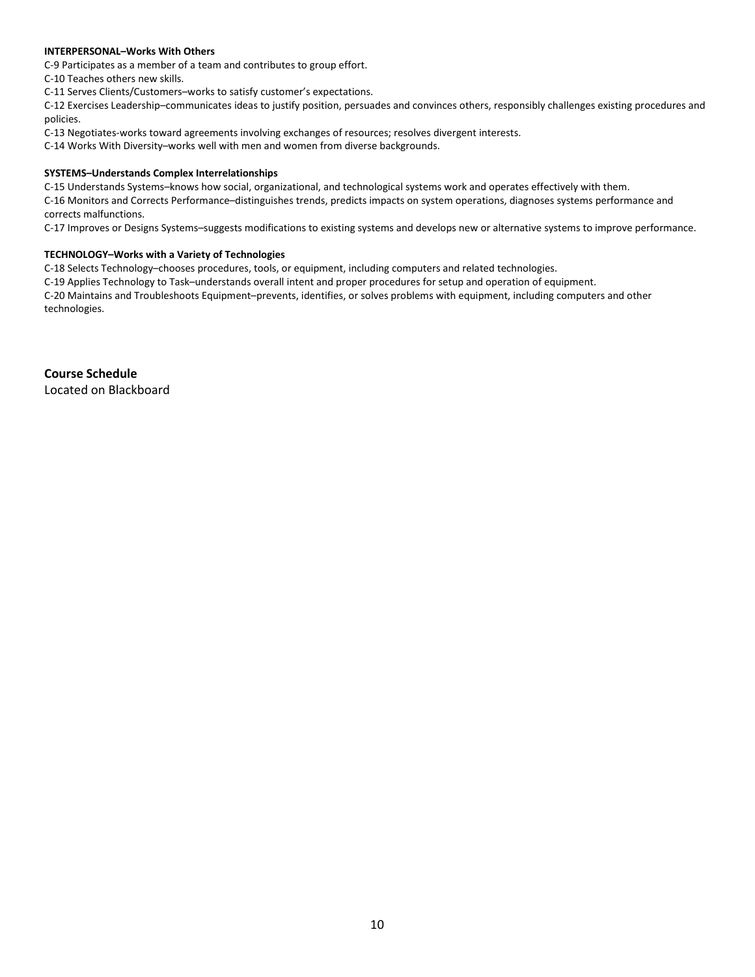#### **INTERPERSONAL–Works With Others**

C-9 Participates as a member of a team and contributes to group effort.

C-10 Teaches others new skills.

C-11 Serves Clients/Customers–works to satisfy customer's expectations.

C-12 Exercises Leadership–communicates ideas to justify position, persuades and convinces others, responsibly challenges existing procedures and policies.

C-13 Negotiates-works toward agreements involving exchanges of resources; resolves divergent interests.

C-14 Works With Diversity–works well with men and women from diverse backgrounds.

#### **SYSTEMS–Understands Complex Interrelationships**

C-15 Understands Systems–knows how social, organizational, and technological systems work and operates effectively with them.

C-16 Monitors and Corrects Performance–distinguishes trends, predicts impacts on system operations, diagnoses systems performance and corrects malfunctions.

C-17 Improves or Designs Systems–suggests modifications to existing systems and develops new or alternative systems to improve performance.

#### **TECHNOLOGY–Works with a Variety of Technologies**

C-18 Selects Technology–chooses procedures, tools, or equipment, including computers and related technologies.

C-19 Applies Technology to Task–understands overall intent and proper procedures for setup and operation of equipment.

C-20 Maintains and Troubleshoots Equipment–prevents, identifies, or solves problems with equipment, including computers and other technologies.

**Course Schedule** Located on Blackboard